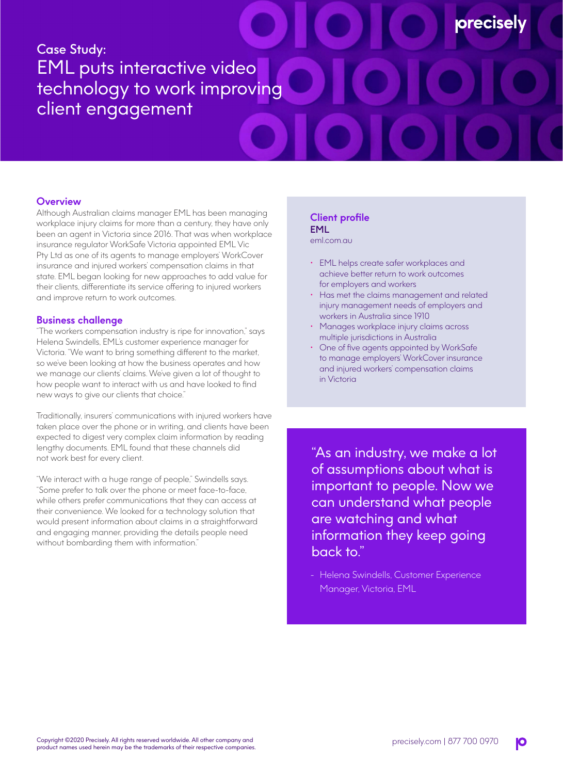# Case Study: EML puts interactive video technology to work improving client engagement

## **Overview**

Although Australian claims manager EML has been managing workplace injury claims for more than a century, they have only been an agent in Victoria since 2016. That was when workplace insurance regulator WorkSafe Victoria appointed EML Vic Pty Ltd as one of its agents to manage employers' WorkCover insurance and injured workers' compensation claims in that state. EML began looking for new approaches to add value for their clients, differentiate its service offering to injured workers and improve return to work outcomes.

#### **Business challenge**

"The workers compensation industry is ripe for innovation," says Helena Swindells, EML's customer experience manager for Victoria. "We want to bring something different to the market, so we've been looking at how the business operates and how we manage our clients' claims. We've given a lot of thought to how people want to interact with us and have looked to find new ways to give our clients that choice."

Traditionally, insurers' communications with injured workers have taken place over the phone or in writing, and clients have been expected to digest very complex claim information by reading lengthy documents. EML found that these channels did not work best for every client.

"We interact with a huge range of people," Swindells says. "Some prefer to talk over the phone or meet face-to-face, while others prefer communications that they can access at their convenience. We looked for a technology solution that would present information about claims in a straightforward and engaging manner, providing the details people need without bombarding them with information."

### **Client profile** EML

eml.com.au

- EML helps create safer workplaces and achieve better return to work outcomes for employers and workers
- Has met the claims management and related injury management needs of employers and workers in Australia since 1910

**orecisel** 

- Manages workplace injury claims across multiple jurisdictions in Australia
- One of five agents appointed by WorkSafe to manage employers' WorkCover insurance and injured workers' compensation claims in Victoria

"As an industry, we make a lot of assumptions about what is important to people. Now we can understand what people are watching and what information they keep going back to."

- Helena Swindells, Customer Experience Manager, Victoria, EML